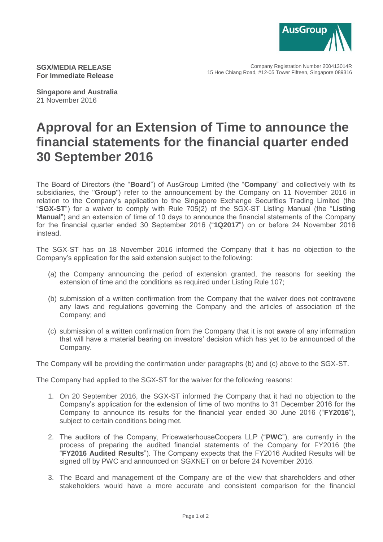

Company Registration Number 200413014R 15 Hoe Chiang Road, #12-05 Tower Fifteen, Singapore 089316

**SGX/MEDIA RELEASE For Immediate Release**

**Singapore and Australia** 21 November 2016

## **Approval for an Extension of Time to announce the financial statements for the financial quarter ended 30 September 2016**

The Board of Directors (the "**Board**") of AusGroup Limited (the "**Company**" and collectively with its subsidiaries, the "**Group**") refer to the announcement by the Company on 11 November 2016 in relation to the Company's application to the Singapore Exchange Securities Trading Limited (the "**SGX-ST**") for a waiver to comply with Rule 705(2) of the SGX-ST Listing Manual (the "**Listing Manual**") and an extension of time of 10 days to announce the financial statements of the Company for the financial quarter ended 30 September 2016 ("**1Q2017**") on or before 24 November 2016 instead.

The SGX-ST has on 18 November 2016 informed the Company that it has no objection to the Company's application for the said extension subject to the following:

- (a) the Company announcing the period of extension granted, the reasons for seeking the extension of time and the conditions as required under Listing Rule 107;
- (b) submission of a written confirmation from the Company that the waiver does not contravene any laws and regulations governing the Company and the articles of association of the Company; and
- (c) submission of a written confirmation from the Company that it is not aware of any information that will have a material bearing on investors' decision which has yet to be announced of the Company.

The Company will be providing the confirmation under paragraphs (b) and (c) above to the SGX-ST.

The Company had applied to the SGX-ST for the waiver for the following reasons:

- 1. On 20 September 2016, the SGX-ST informed the Company that it had no objection to the Company's application for the extension of time of two months to 31 December 2016 for the Company to announce its results for the financial year ended 30 June 2016 ("**FY2016**"), subject to certain conditions being met.
- 2. The auditors of the Company, PricewaterhouseCoopers LLP ("**PWC**"), are currently in the process of preparing the audited financial statements of the Company for FY2016 (the "**FY2016 Audited Results**"). The Company expects that the FY2016 Audited Results will be signed off by PWC and announced on SGXNET on or before 24 November 2016.
- 3. The Board and management of the Company are of the view that shareholders and other stakeholders would have a more accurate and consistent comparison for the financial